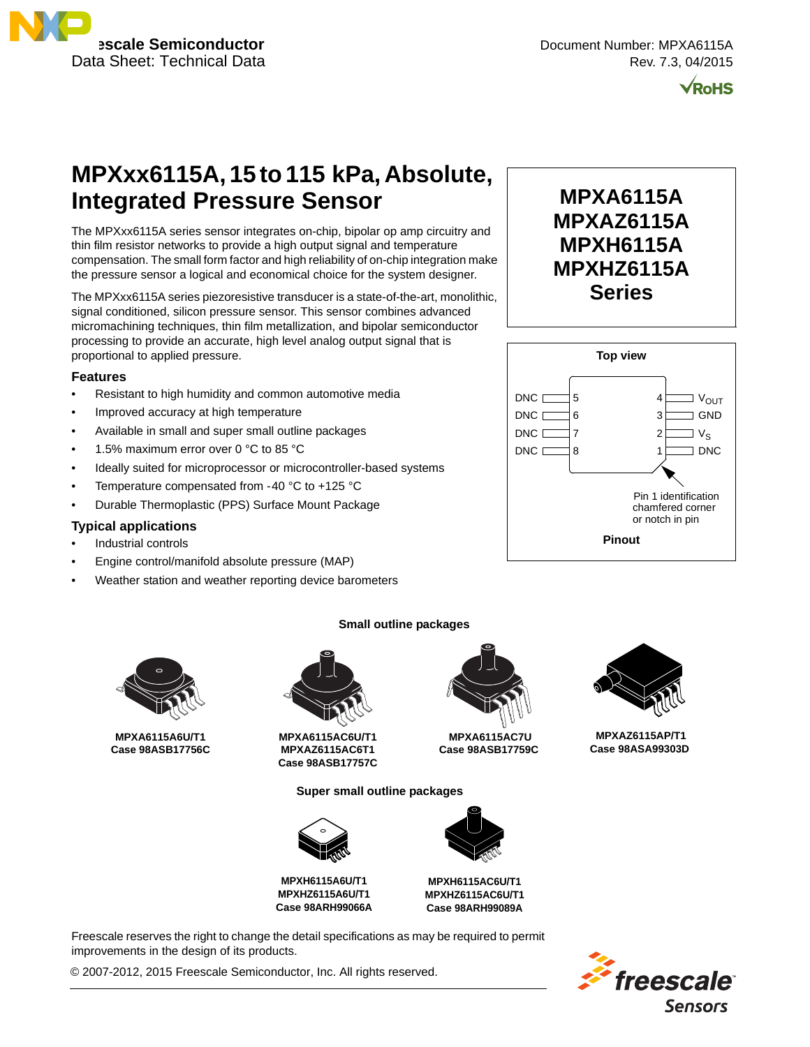

**MPXA6115A MPXAZ6115A MPXH6115A MPXHZ6115A Series**



# **MPXxx6115A, 15 to 115 kPa, Absolute, Integrated Pressure Sensor**

The MPXxx6115A series sensor integrates on-chip, bipolar op amp circuitry and thin film resistor networks to provide a high output signal and temperature compensation. The small form factor and high reliability of on-chip integration make the pressure sensor a logical and economical choice for the system designer.

The MPXxx6115A series piezoresistive transducer is a state-of-the-art, monolithic, signal conditioned, silicon pressure sensor. This sensor combines advanced micromachining techniques, thin film metallization, and bipolar semiconductor processing to provide an accurate, high level analog output signal that is proportional to applied pressure.

#### **Features**

- Resistant to high humidity and common automotive media
- Improved accuracy at high temperature
- Available in small and super small outline packages
- 1.5% maximum error over 0 °C to 85 °C
- Ideally suited for microprocessor or microcontroller-based systems
- Temperature compensated from -40 °C to +125 °C
- Durable Thermoplastic (PPS) Surface Mount Package

#### **Typical applications**

- Industrial controls
- Engine control/manifold absolute pressure (MAP)
- Weather station and weather reporting device barometers



**MPXA6115A6U/T1 Case 98ASB17756C**



**MPXA6115AC6U/T1 MPXAZ6115AC6T1 Case 98ASB17757C**

**Super small outline packages**



**MPXH6115A6U/T1 MPXHZ6115A6U/T1 Case 98ARH99066A**



 **MPXA6115AC7U Case 98ASB17759C**

**MPXH6115AC6U/T1 MPXHZ6115AC6U/T1 Case 98ARH99089A**

Freescale reserves the right to change the detail specifications as may be required to permit improvements in the design of its products.

© 2007-2012, 2015 Freescale Semiconductor, Inc. All rights reserved.

#### **Top view** 5 4 6 7 8 DNC **D** DNC<sub>I</sub> DNC I DNC<sub>L</sub>



1 2 3

 $J V_S$ 

I DNC

 $V_{OUT}$ GND



 **MPXAZ6115AP/T1 Case 98ASA99303D**



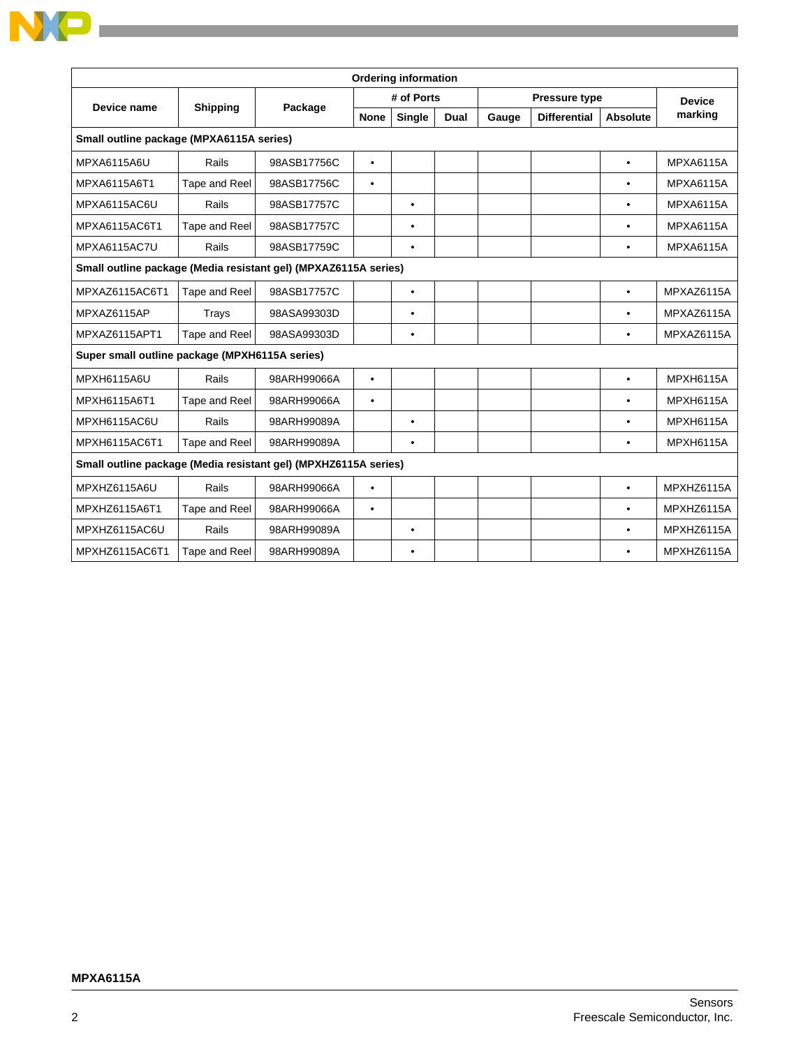| <b>Ordering information</b>                                     |                 |             |             |               |             |                      |                     |                 |                  |
|-----------------------------------------------------------------|-----------------|-------------|-------------|---------------|-------------|----------------------|---------------------|-----------------|------------------|
| Device name                                                     |                 |             |             | # of Ports    |             | <b>Pressure type</b> |                     |                 | <b>Device</b>    |
|                                                                 | <b>Shipping</b> | Package     | <b>None</b> | <b>Single</b> | <b>Dual</b> | Gauge                | <b>Differential</b> | <b>Absolute</b> | marking          |
| Small outline package (MPXA6115A series)                        |                 |             |             |               |             |                      |                     |                 |                  |
| <b>MPXA6115A6U</b>                                              | Rails           | 98ASB17756C | $\bullet$   |               |             |                      |                     | $\bullet$       | <b>MPXA6115A</b> |
| MPXA6115A6T1                                                    | Tape and Reel   | 98ASB17756C | $\bullet$   |               |             |                      |                     | ٠               | <b>MPXA6115A</b> |
| MPXA6115AC6U                                                    | Rails           | 98ASB17757C |             | ٠             |             |                      |                     | ٠               | <b>MPXA6115A</b> |
| MPXA6115AC6T1                                                   | Tape and Reel   | 98ASB17757C |             | $\bullet$     |             |                      |                     | $\bullet$       | <b>MPXA6115A</b> |
| MPXA6115AC7U                                                    | Rails           | 98ASB17759C |             | $\bullet$     |             |                      |                     | $\bullet$       | <b>MPXA6115A</b> |
| Small outline package (Media resistant gel) (MPXAZ6115A series) |                 |             |             |               |             |                      |                     |                 |                  |
| MPXAZ6115AC6T1                                                  | Tape and Reel   | 98ASB17757C |             | $\bullet$     |             |                      |                     | $\bullet$       | MPXAZ6115A       |
| MPXAZ6115AP                                                     | Trays           | 98ASA99303D |             | ٠             |             |                      |                     | ٠               | MPXAZ6115A       |
| MPXAZ6115APT1                                                   | Tape and Reel   | 98ASA99303D |             | ٠             |             |                      |                     | ٠               | MPXAZ6115A       |
| Super small outline package (MPXH6115A series)                  |                 |             |             |               |             |                      |                     |                 |                  |
| MPXH6115A6U                                                     | Rails           | 98ARH99066A | $\bullet$   |               |             |                      |                     | $\bullet$       | <b>MPXH6115A</b> |
| MPXH6115A6T1                                                    | Tape and Reel   | 98ARH99066A | $\bullet$   |               |             |                      |                     | $\bullet$       | <b>MPXH6115A</b> |
| MPXH6115AC6U                                                    | Rails           | 98ARH99089A |             | $\bullet$     |             |                      |                     | $\bullet$       | <b>MPXH6115A</b> |
| MPXH6115AC6T1                                                   | Tape and Reel   | 98ARH99089A |             | $\bullet$     |             |                      |                     | ٠               | MPXH6115A        |
| Small outline package (Media resistant gel) (MPXHZ6115A series) |                 |             |             |               |             |                      |                     |                 |                  |
| MPXHZ6115A6U                                                    | Rails           | 98ARH99066A | $\bullet$   |               |             |                      |                     | $\bullet$       | MPXHZ6115A       |
| MPXHZ6115A6T1                                                   | Tape and Reel   | 98ARH99066A | ٠           |               |             |                      |                     | $\bullet$       | MPXHZ6115A       |
| MPXHZ6115AC6U                                                   | Rails           | 98ARH99089A |             | ٠             |             |                      |                     | ٠               | MPXHZ6115A       |
| MPXHZ6115AC6T1                                                  | Tape and Reel   | 98ARH99089A |             | $\bullet$     |             |                      |                     |                 | MPXHZ6115A       |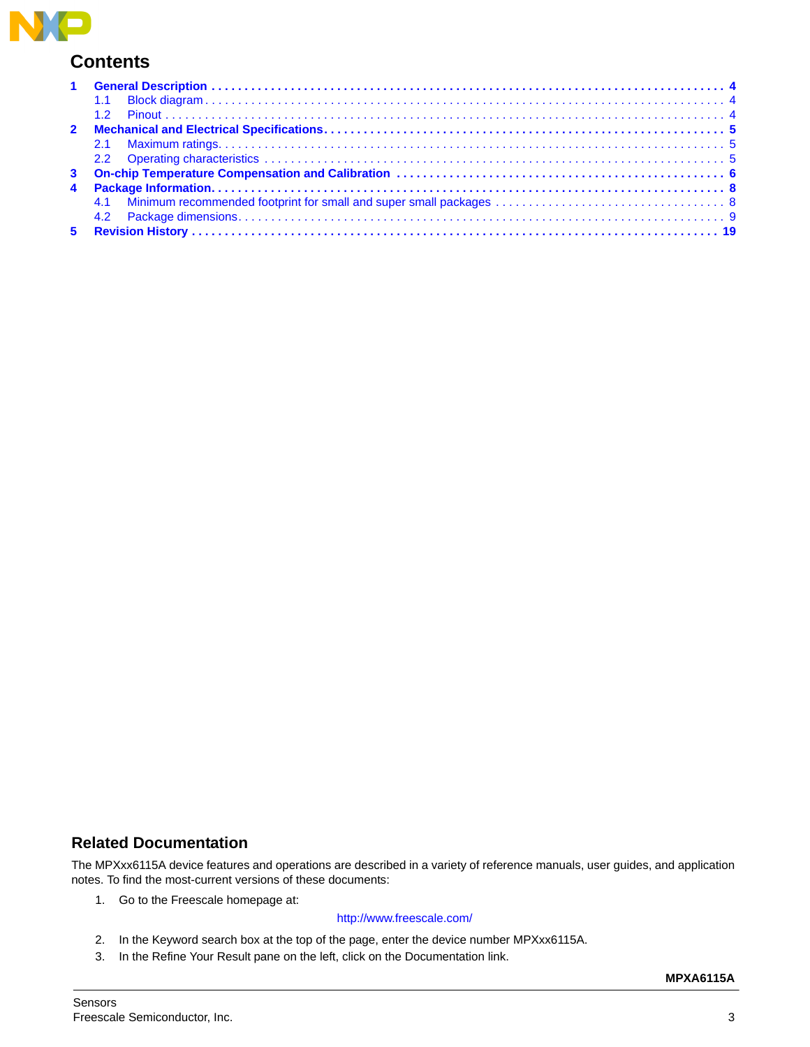

## **Contents**

### **Related Documentation**

The MPXxx6115A device features and operations are described in a variety of reference manuals, user guides, and application notes. To find the most-current versions of these documents:

1. Go to the Freescale homepage at:

#### <http://www.freescale.com/>

- 2. In the Keyword search box at the top of the page, enter the device number MPXxx6115A.
- 3. In the Refine Your Result pane on the left, click on the Documentation link.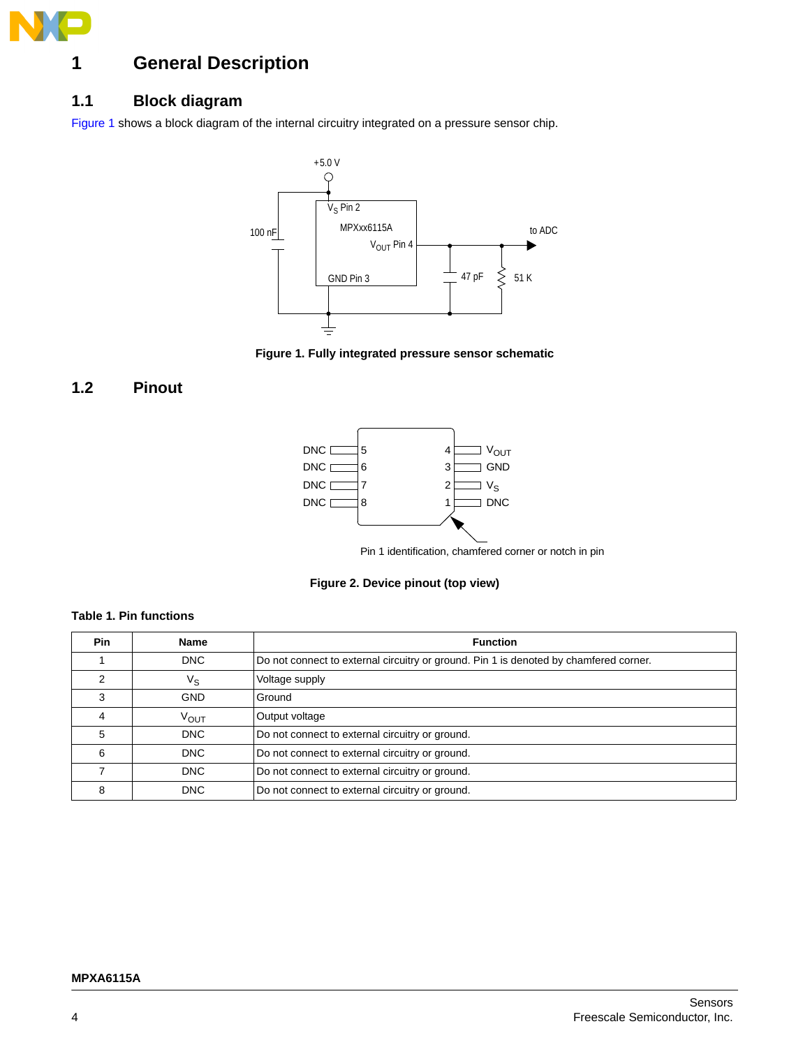

## <span id="page-3-0"></span>**1 General Description**

### <span id="page-3-1"></span>**1.1 Block diagram**

[Figure 1](#page-3-3) shows a block diagram of the internal circuitry integrated on a pressure sensor chip.



**Figure 1. Fully integrated pressure sensor schematic**

### <span id="page-3-3"></span><span id="page-3-2"></span>**1.2 Pinout**



Pin 1 identification, chamfered corner or notch in pin



#### **Table 1. Pin functions**

| <b>Pin</b> | <b>Name</b>      | <b>Function</b>                                                                       |
|------------|------------------|---------------------------------------------------------------------------------------|
|            | <b>DNC</b>       | Do not connect to external circuitry or ground. Pin 1 is denoted by chamfered corner. |
|            | ٧s               | Voltage supply                                                                        |
| 3          | <b>GND</b>       | Ground                                                                                |
| 4          | V <sub>OUT</sub> | Output voltage                                                                        |
| 5          | <b>DNC</b>       | Do not connect to external circuitry or ground.                                       |
| 6          | <b>DNC</b>       | Do not connect to external circuitry or ground.                                       |
|            | <b>DNC</b>       | Do not connect to external circuitry or ground.                                       |
| 8          | <b>DNC</b>       | Do not connect to external circuitry or ground.                                       |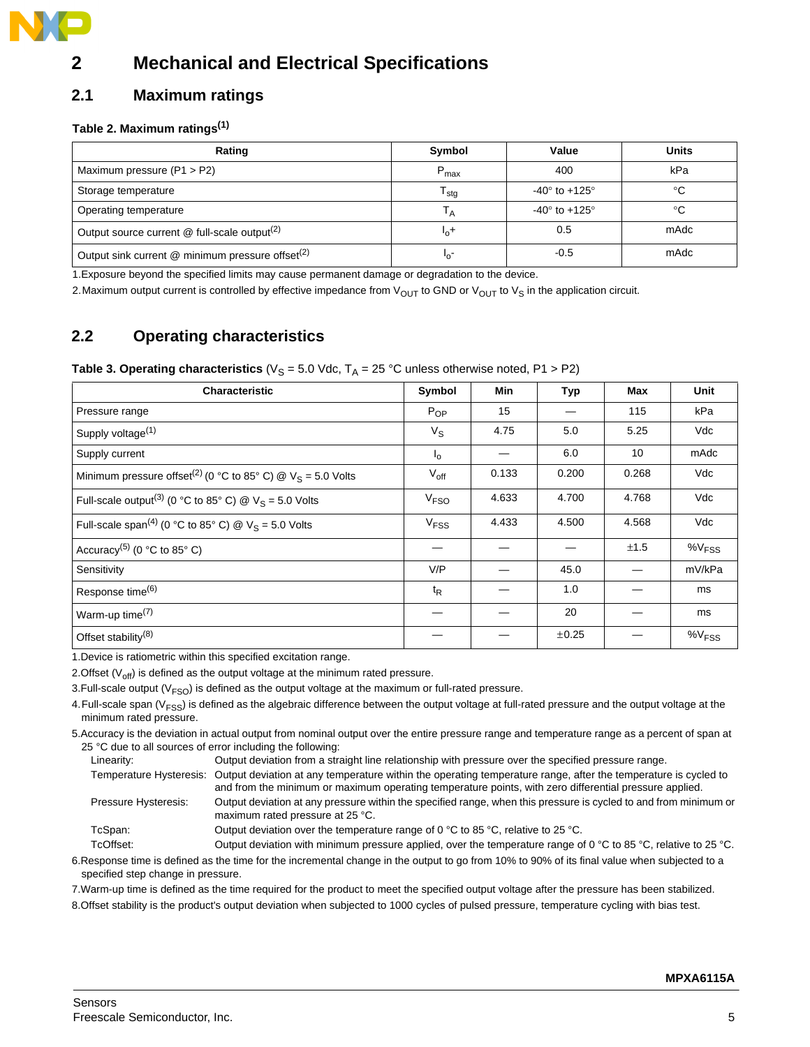

## <span id="page-4-0"></span>**2 Mechanical and Electrical Specifications**

### <span id="page-4-1"></span>**2.1 Maximum ratings**

#### **Table 2. Maximum ratings(1)**

| Rating                                                         | Symbol                     | Value                             | <b>Units</b> |
|----------------------------------------------------------------|----------------------------|-----------------------------------|--------------|
| Maximum pressure $(P1 > P2)$                                   | $P_{\text{max}}$           | 400                               | kPa          |
| Storage temperature                                            | ${\mathsf T}_{\text{stg}}$ | -40 $\degree$ to +125 $\degree$   | °C           |
| Operating temperature                                          | $\mathsf{I}_{\mathsf{A}}$  | -40 $^{\circ}$ to +125 $^{\circ}$ | °C           |
| Output source current @ full-scale output <sup>(2)</sup>       | $L_0$ <sup>+</sup>         | 0.5                               | mAdc         |
| Output sink current $@$ minimum pressure offset <sup>(2)</sup> | $^{\prime}$ o              | $-0.5$                            | mAdc         |

1.Exposure beyond the specified limits may cause permanent damage or degradation to the device.

2. Maximum output current is controlled by effective impedance from  $V_{OUT}$  to GND or  $V_{OUT}$  to  $V_S$  in the application circuit.

## <span id="page-4-2"></span>**2.2 Operating characteristics**

#### **Table 3. Operating characteristics** ( $V_S = 5.0$  Vdc,  $T_A = 25$  °C unless otherwise noted, P1 > P2)

| <b>Characteristic</b>                                                      | Symbol           | Min   | Typ   | Max   | Unit                 |
|----------------------------------------------------------------------------|------------------|-------|-------|-------|----------------------|
| Pressure range                                                             | $P_{OP}$         | 15    |       | 115   | kPa                  |
| Supply voltage <sup>(1)</sup>                                              | $V_{\rm S}$      | 4.75  | 5.0   | 5.25  | Vdc                  |
| Supply current                                                             | $I_{\Omega}$     |       | 6.0   | 10    | mAdc                 |
| Minimum pressure offset <sup>(2)</sup> (0 °C to 85° C) @ $V_S$ = 5.0 Volts | $V_{\text{off}}$ | 0.133 | 0.200 | 0.268 | Vdc                  |
| Full-scale output <sup>(3)</sup> (0 °C to 85° C) @ $V_s = 5.0$ Volts       | V <sub>FSO</sub> | 4.633 | 4.700 | 4.768 | Vdc                  |
| Full-scale span <sup>(4)</sup> (0 °C to 85° C) @ $V_S = 5.0$ Volts         | V <sub>FSS</sub> | 4.433 | 4.500 | 4.568 | Vdc                  |
| Accuracy <sup>(5)</sup> (0 °C to 85° C)                                    |                  |       |       | ±1.5  | $\%V$ <sub>FSS</sub> |
| Sensitivity                                                                | V/P              |       | 45.0  |       | mV/kPa               |
| Response time <sup>(6)</sup>                                               | $t_{\mathsf{R}}$ |       | 1.0   |       | ms                   |
| Warm-up time <sup>(7)</sup>                                                |                  |       | 20    |       | ms                   |
| Offset stability <sup>(8)</sup>                                            |                  |       | ±0.25 |       | $\%V_{FSS}$          |

1.Device is ratiometric within this specified excitation range.

2. Offset  $(V_{off})$  is defined as the output voltage at the minimum rated pressure.

3. Full-scale output  $(V_{FSO})$  is defined as the output voltage at the maximum or full-rated pressure.

4. Full-scale span (V<sub>FSS</sub>) is defined as the algebraic difference between the output voltage at full-rated pressure and the output voltage at the minimum rated pressure.

5.Accuracy is the deviation in actual output from nominal output over the entire pressure range and temperature range as a percent of span at 25 °C due to all sources of error including the following:

| Linearity:           | Output deviation from a straight line relationship with pressure over the specified pressure range.                                                                                                                                              |
|----------------------|--------------------------------------------------------------------------------------------------------------------------------------------------------------------------------------------------------------------------------------------------|
|                      | Temperature Hysteresis: Output deviation at any temperature within the operating temperature range, after the temperature is cycled to<br>and from the minimum or maximum operating temperature points, with zero differential pressure applied. |
| Pressure Hysteresis: | Output deviation at any pressure within the specified range, when this pressure is cycled to and from minimum or<br>maximum rated pressure at 25 °C.                                                                                             |
| TcSpan:              | Output deviation over the temperature range of 0 °C to 85 °C, relative to 25 °C.                                                                                                                                                                 |
| TcOffset:            | Output deviation with minimum pressure applied, over the temperature range of 0 °C to 85 °C, relative to 25 °C.                                                                                                                                  |

6.Response time is defined as the time for the incremental change in the output to go from 10% to 90% of its final value when subjected to a specified step change in pressure.

7.Warm-up time is defined as the time required for the product to meet the specified output voltage after the pressure has been stabilized.

8.Offset stability is the product's output deviation when subjected to 1000 cycles of pulsed pressure, temperature cycling with bias test.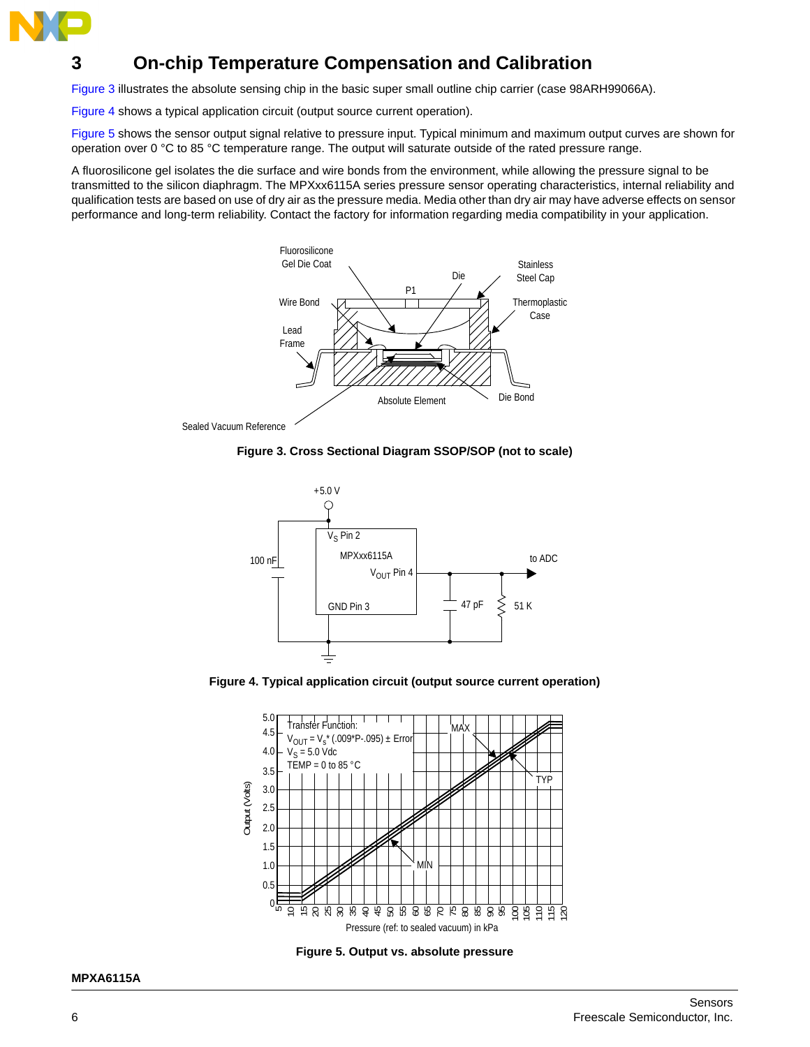

## <span id="page-5-0"></span>**3 On-chip Temperature Compensation and Calibration**

Figure 3 illustrates the absolute sensing chip in the basic super small outline chip carrier (case 98ARH99066A).

Figure 4 shows a typical application circuit (output source current operation).

Figure 5 shows the sensor output signal relative to pressure input. Typical minimum and maximum output curves are shown for operation over 0 °C to 85 °C temperature range. The output will saturate outside of the rated pressure range.

A fluorosilicone gel isolates the die surface and wire bonds from the environment, while allowing the pressure signal to be transmitted to the silicon diaphragm. The MPXxx6115A series pressure sensor operating characteristics, internal reliability and qualification tests are based on use of dry air as the pressure media. Media other than dry air may have adverse effects on sensor performance and long-term reliability. Contact the factory for information regarding media compatibility in your application.



Sealed Vacuum Reference





**Figure 4. Typical application circuit (output source current operation)**



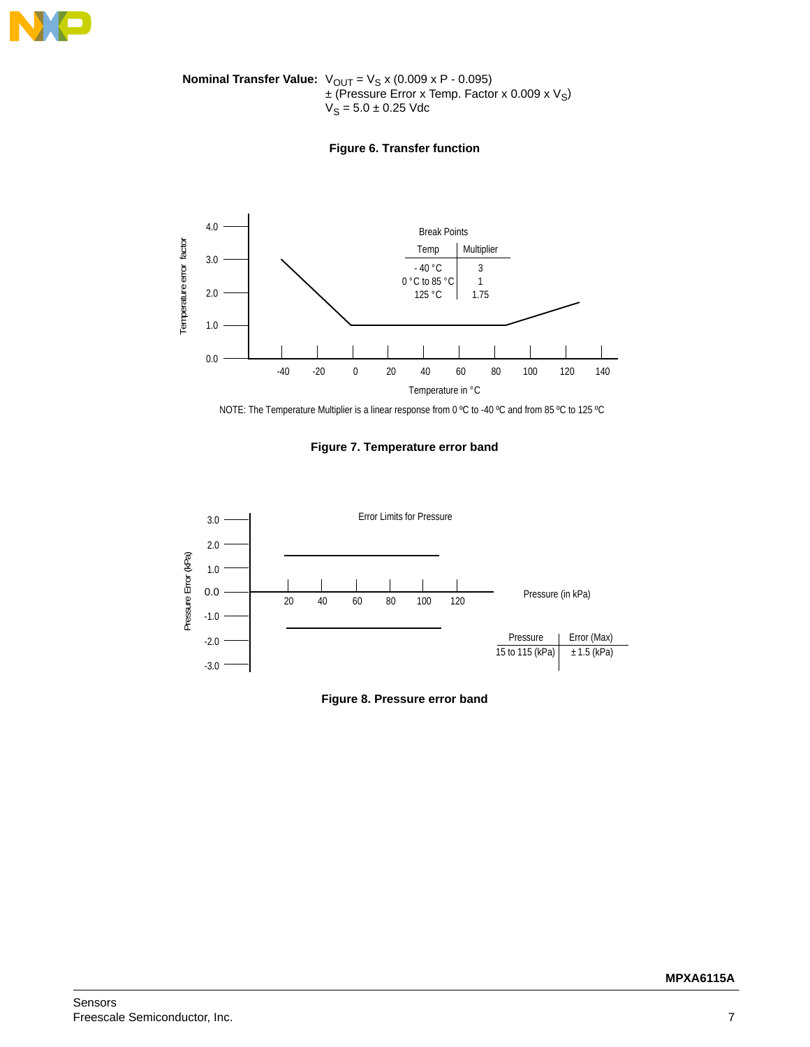

**Nominal Transfer Value:**  $V_{OUT} = V_S x (0.009 x P - 0.095)$  $\pm$  (Pressure Error x Temp. Factor x 0.009 x  $V_S$ )  $V_S = 5.0 \pm 0.25$  Vdc

#### **Figure 6. Transfer function**



NOTE: The Temperature Multiplier is a linear response from 0 ºC to -40 ºC and from 85 ºC to 125 ºC

#### **Figure 7. Temperature error band**



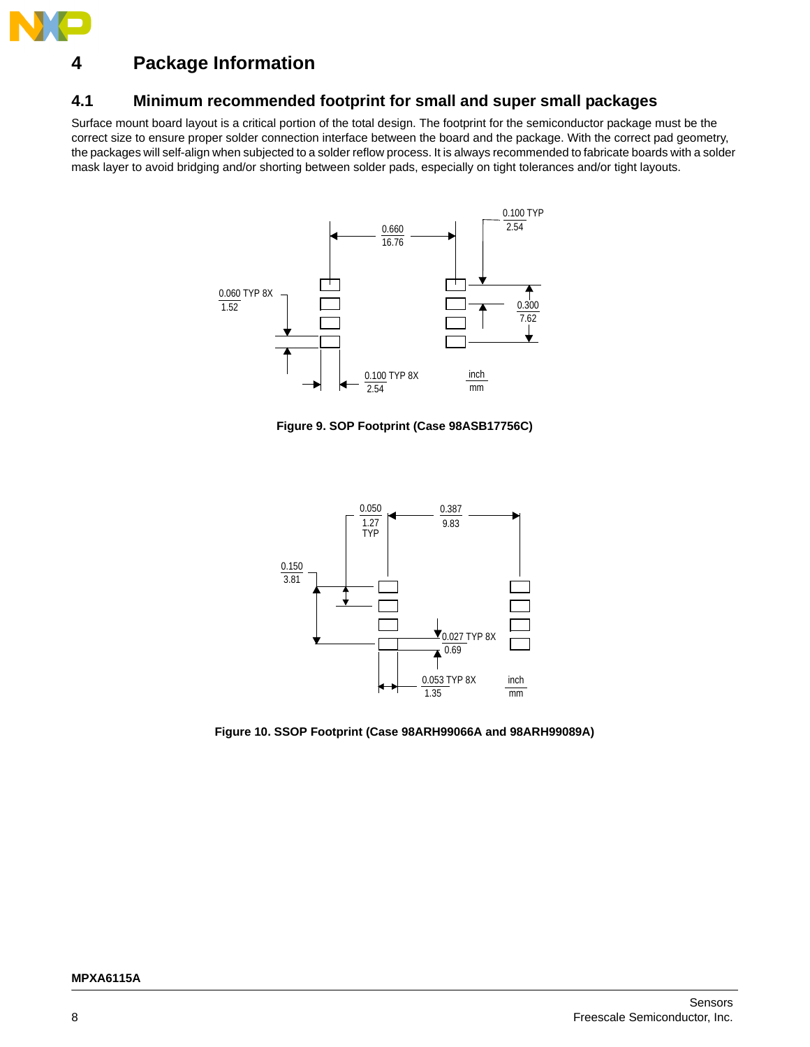

## <span id="page-7-0"></span>**4 Package Information**

### <span id="page-7-1"></span>**4.1 Minimum recommended footprint for small and super small packages**

Surface mount board layout is a critical portion of the total design. The footprint for the semiconductor package must be the correct size to ensure proper solder connection interface between the board and the package. With the correct pad geometry, the packages will self-align when subjected to a solder reflow process. It is always recommended to fabricate boards with a solder mask layer to avoid bridging and/or shorting between solder pads, especially on tight tolerances and/or tight layouts.



**Figure 9. SOP Footprint (Case 98ASB17756C)**



**Figure 10. SSOP Footprint (Case 98ARH99066A and 98ARH99089A)**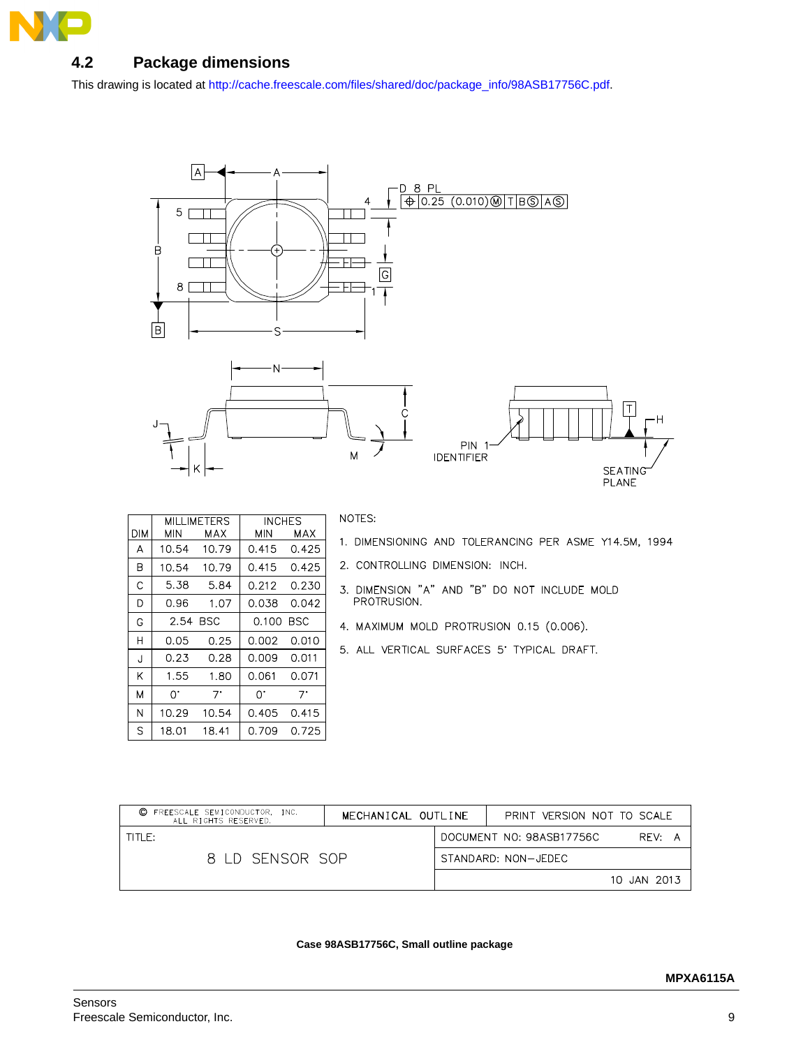

## <span id="page-8-0"></span>**4.2 Package dimensions**

This drawing is located at [http://cache.freescale.com/files/shared/doc/package\\_info/98ASB17756C.pdf](http://cache.freescale.com/files/shared/doc/package_info/98ASB17756C.pdf).



|            |            | <b>MILLIMETERS</b> | <b>INCHES</b> |            |
|------------|------------|--------------------|---------------|------------|
| <b>DIM</b> | <b>MIN</b> | MAX                | MIN           | MAX        |
| Α          | 10.54      | 10.79              | 0.415         | 0.425      |
| B          | 10.54      | 10.79              | 0.415         | 0.425      |
| C          | 5.38       | 5.84               | 0.212         | 0.230      |
| D          | 0.96       | 1.07               | 0.038         | 0.042      |
| G          | 2.54       | BSC                | 0.100         | <b>BSC</b> |
| Н          | 0.05       | 0.25               | 0.002         | 0.010      |
| J          | 0.23       | 0.28               | 0.009         | 0.011      |
| K          | 1.55       | 1.80               | 0.061         | 0.071      |
| M          | $\Omega$ . | 7.                 | 0.            | 7.         |
| N          | 10.29      | 10.54              | 0.405         | 0.415      |
| S          | 18.01      | 18.41              | 0.709         | 0.725      |

NOTES:

- 1. DIMENSIONING AND TOLERANCING PER ASME Y14.5M, 1994
- 2. CONTROLLING DIMENSION: INCH.
- 3. DIMENSION "A" AND "B" DO NOT INCLUDE MOLD PROTRUSION.
- 4. MAXIMUM MOLD PROTRUSION 0.15 (0.006).
- 5. ALL VERTICAL SURFACES 5' TYPICAL DRAFT.

| FREESCALE SEMICONDUCTOR. INC.<br>O<br>ALL RIGHTS RESERVED. | MECHANICAL OUTLINE |  | PRINT VERSION NOT TO SCALE |             |  |  |
|------------------------------------------------------------|--------------------|--|----------------------------|-------------|--|--|
| $THF$ :                                                    |                    |  | DOCUMENT NO: 98ASB17756C   | RFV: A      |  |  |
| 8 ID SENSOR SOP                                            |                    |  | STANDARD: NON-JEDEC        |             |  |  |
|                                                            |                    |  |                            | 10 JAN 2013 |  |  |

#### **Case 98ASB17756C, Small outline package**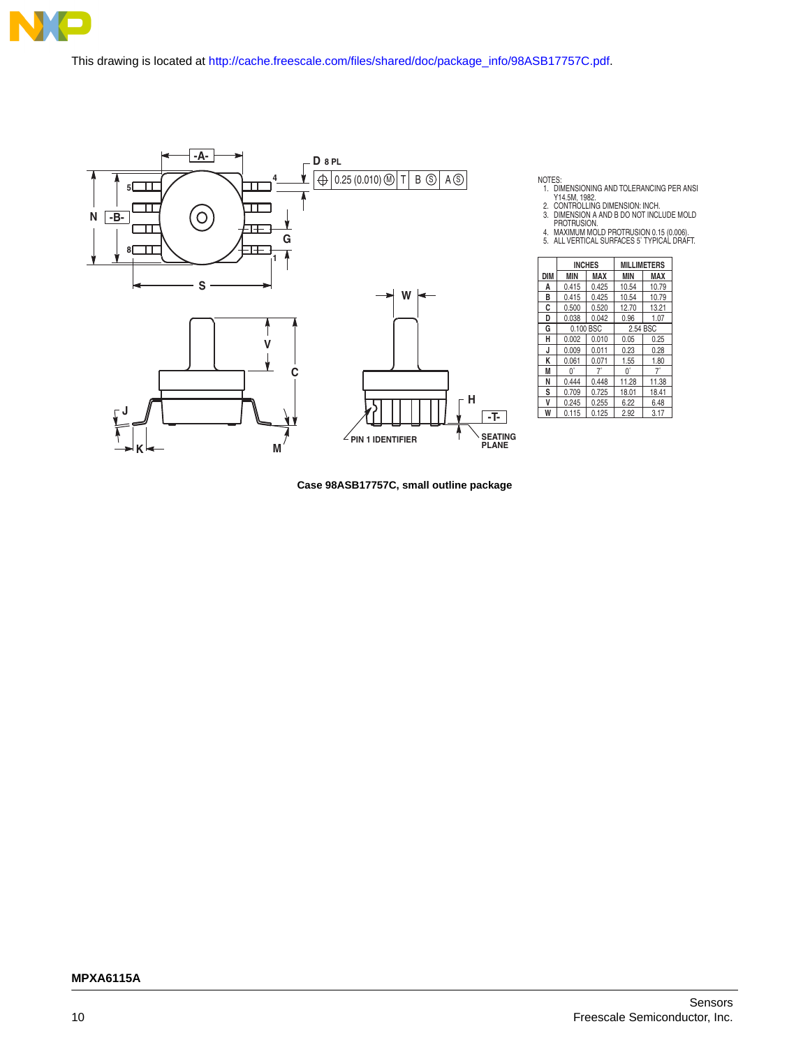

This drawing is located a[t http://cache.freescale.com/files/shared/doc/package\\_info/98ASB17757C.pdf](http://cache.freescale.com/files/shared/doc/package_info/98ASB17757C.pdf).



NOTES:<br>1. DIMENSIONING AND TOLERANCING PER ANSI<br>2. CONTROLLING DIMENSION: INCH.<br>3. DIMENSION A AND B DO NOT INCLUDE MOLD<br>PROTRUSION.<br>4. MAXIMUM MOLD PROTRUSION 0.15 (0.006).<br>5. ALL VERTICAL SURFACES 5`TYPICAL DRAFT.

|            |                   | <b>INCHES</b> | <b>MILLIMETERS</b> |            |  |
|------------|-------------------|---------------|--------------------|------------|--|
| <b>DIM</b> | MAX<br><b>MIN</b> |               | <b>MIN</b>         | <b>MAX</b> |  |
| A          | 0.415             | 0.425         | 10.54              | 10.79      |  |
| в          | 0.415             | 0.425         | 10.54              | 10.79      |  |
| C          | 0.500             | 0.520         | 12.70              | 13.21      |  |
| D          | 0.038             | 0.042         | 0.96               | 1.07       |  |
| G          |                   | 0.100 BSC     | 2.54 BSC           |            |  |
| н          | 0.002             | 0.010         | 0.05               | 0.25       |  |
| J          | 0.009             | 0.011         | 0.23               | 0.28       |  |
| K          | 0.061             | 0.071         | 1.55               | 1.80       |  |
| M          | U.                | 7°            | $0^{\circ}$        | 7°         |  |
| Ν          | 0.444             | 0.448         | 11.28              | 11.38      |  |
| s          | 0.709             | 0.725         | 18.01              | 18.41      |  |
| v          | 0.245             | 0.255         | 6.22               | 6.48       |  |
| W          | 0.115             | 0.125         | 2.92               | 3.17       |  |

**Case 98ASB17757C, small outline package**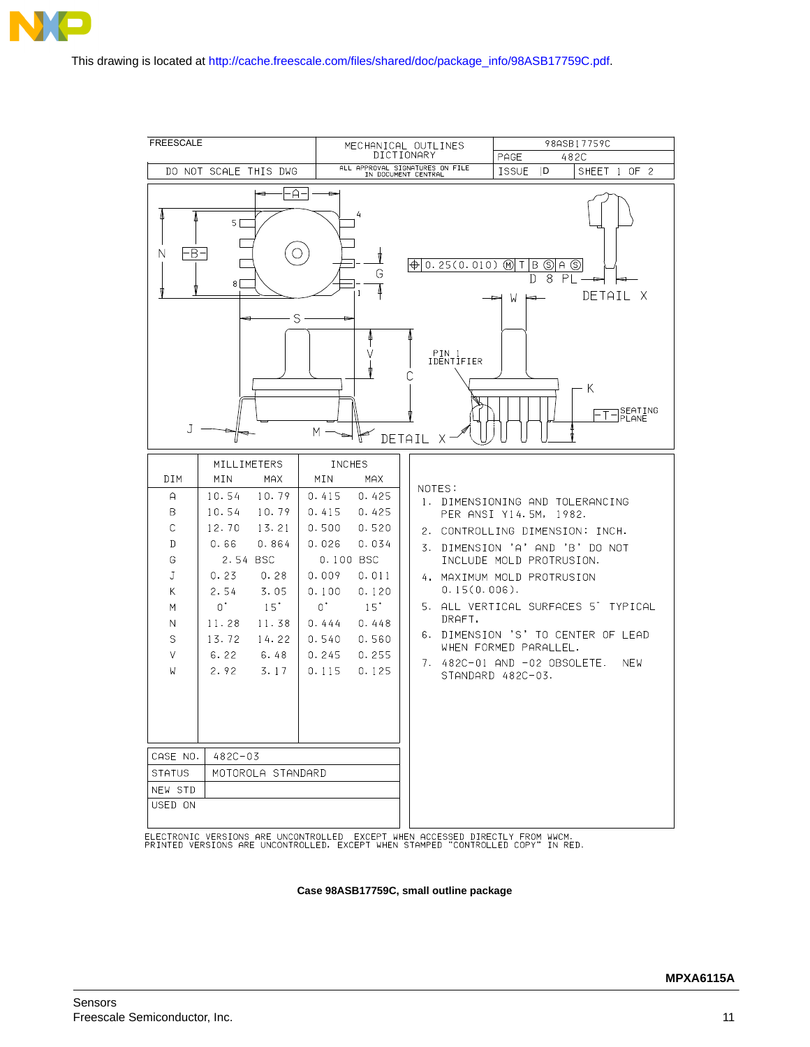



ELECTRONIC VERSIONS ARE UNCONTROLLED EXCEPT WHEN ACCESSED DIRECTLY FROM WWCM.<br>PRINTED VERSIONS ARE UNCONTROLLED, EXCEPT WHEN STAMPED "CONTROLLED COPY" IN RED.

**Case 98ASB17759C, small outline package**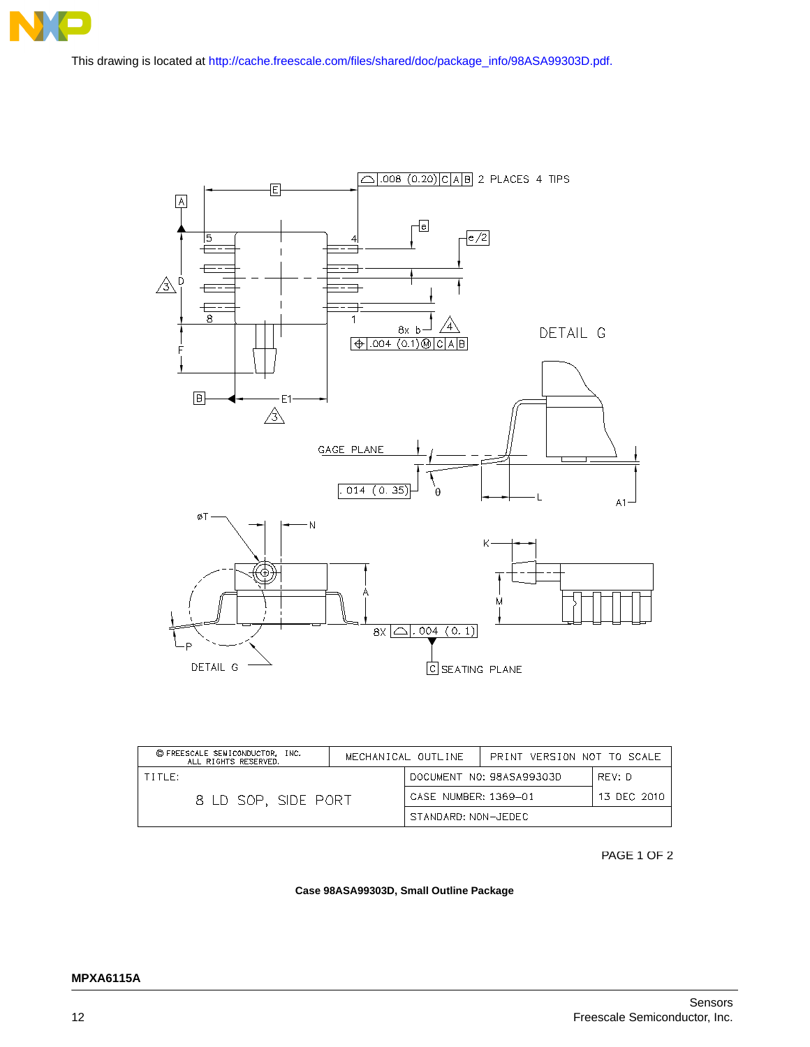

This drawing is located a[t http://cache.freescale.com/files/shared/doc/package\\_info/98ASA99303D.pdf.](http://cache.freescale.com/files/shared/doc/package_info/98ASA99303D.pdf)



| © FREESCALE SEMICONDUCTOR, INC.<br>ALL RIGHTS RESERVED. |                                     | MECHANICAL OUTLINE | PRINT VERSION NOT TO SCALE |  |
|---------------------------------------------------------|-------------------------------------|--------------------|----------------------------|--|
| TITF:                                                   | DOCUMENT NO: 98ASA99303D<br>RFV: D  |                    |                            |  |
| 8 LD SOP. SIDE PORT                                     | CASE NUMBER: 1369-01<br>13 DEC 2010 |                    |                            |  |
|                                                         | STANDARD: NON-JEDEC                 |                    |                            |  |

PAGE 1 OF 2

#### **Case 98ASA99303D, Small Outline Package**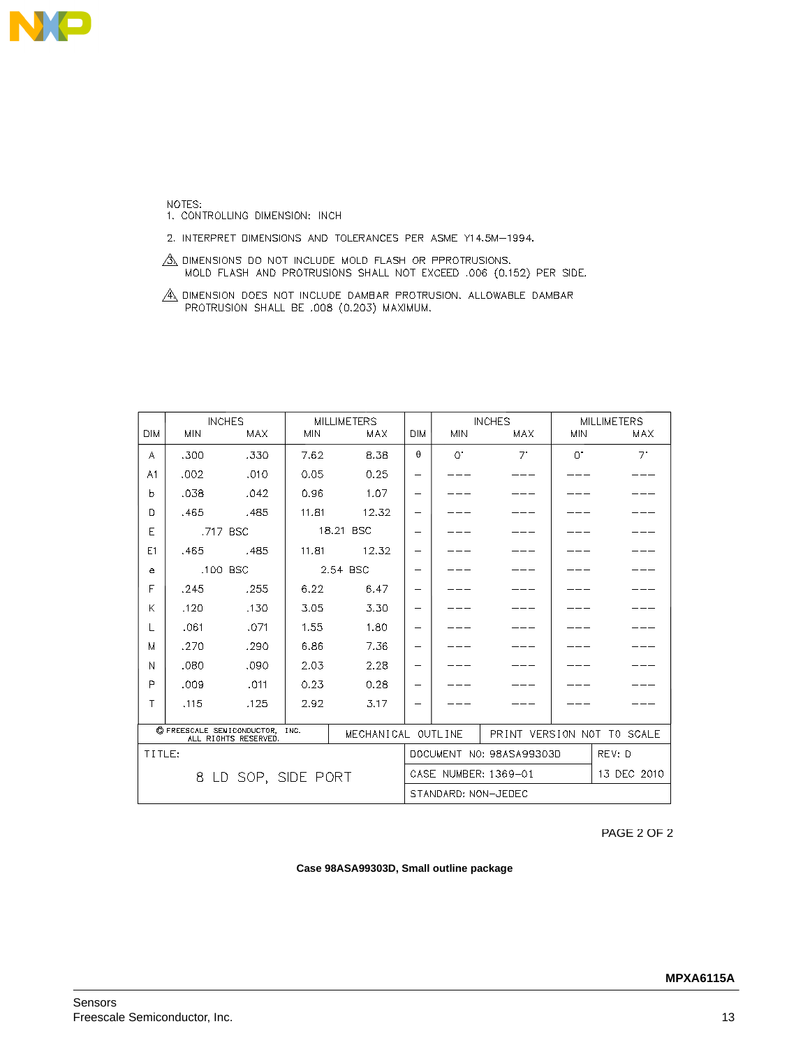

NOTES:<br>1. CONTROLLING DIMENSION: INCH

2. INTERPRET DIMENSIONS AND TOLERANCES PER ASME Y14.5M-1994.

 $\frac{A}{A}$  dimensions do not include mold flash or pprotrusions.<br>Mold flash and protrusions shall not exceed .006 (0.152) PER SIDE.

 $\overbrace{A}\overbrace{A}$  dimension does not include dambar protrusion. Allowable dambar protrusion shall be .008 (0.203) Maximum.

|                     |            | <b>INCHES</b>              |            | <b>MILLIMETERS</b>       |                          |                        | <b>INCHES</b>       | <b>MILLIMETERS</b> |                            |
|---------------------|------------|----------------------------|------------|--------------------------|--------------------------|------------------------|---------------------|--------------------|----------------------------|
| <b>DIM</b>          | <b>MIN</b> | <b>MAX</b>                 | <b>MIN</b> | <b>MAX</b>               | <b>DIM</b>               | <b>MIN</b>             | MAX                 | <b>MIN</b>         | MAX                        |
| А                   | .300       | .330                       | 7.62       | 8.38                     | $\theta$                 | $\bigcap$ <sup>*</sup> | $7^{\circ}$         | $\Omega$           | $7^{\circ}$                |
| A1                  | .002       | .010                       | 0.05       | 0.25                     | $\overline{\phantom{0}}$ |                        |                     |                    |                            |
| b                   | .038       | .042                       | 0.96       | 1.07                     | $\overline{\phantom{0}}$ |                        |                     |                    |                            |
| D                   | .465       | .485                       | 11.81      | 12.32                    | $\equiv$                 |                        |                     |                    |                            |
| Е                   |            | .717 BSC                   |            | 18.21 BSC                | $\overline{\phantom{0}}$ |                        |                     |                    |                            |
| E1                  | .465       | .485                       | 11.81      | 12.32                    | $\equiv$                 |                        |                     |                    |                            |
| e                   |            | .100 BSC                   |            | 2.54 BSC                 | $\overline{\phantom{0}}$ |                        |                     |                    |                            |
| F                   | .245       | .255                       | 6.22       | 6.47                     | $\overline{\phantom{0}}$ |                        |                     |                    |                            |
| K                   | .120       | .130                       | 3.05       | 3.30                     | $\overline{\phantom{0}}$ |                        |                     |                    |                            |
|                     | .061       | .071                       | 1.55       | 1.80                     | $\overline{\phantom{0}}$ |                        |                     |                    |                            |
| M                   | .270       | .290                       | 6.86       | 7.36                     | $\overline{\phantom{0}}$ |                        |                     |                    |                            |
| N                   | .080       | .090                       | 2.03       | 2.28                     | $\overline{\phantom{0}}$ |                        |                     |                    |                            |
| P                   | .009       | .011                       | 0.23       | 0.28                     | $\overline{\phantom{0}}$ |                        |                     |                    |                            |
| Τ                   | .115       | .125                       | 2.92       | 3.17                     | $\overline{\phantom{0}}$ |                        |                     |                    |                            |
|                     |            | C FREESCALE SEMICONDUCTOR, |            |                          |                          |                        |                     |                    |                            |
|                     |            | ALL RIGHTS RESERVED.       | INC.       | MECHANICAL OUTLINE       |                          |                        |                     |                    | PRINT VERSION NOT TO SCALE |
| TITLE:              |            |                            |            | DOCUMENT NO: 98ASA99303D |                          |                        | REV: D              |                    |                            |
| 8 LD SOP, SIDE PORT |            |                            |            | CASE NUMBER: 1369-01     |                          |                        |                     | 13 DEC 2010        |                            |
|                     |            |                            |            |                          |                          |                        | STANDARD: NON-JEDEC |                    |                            |

PAGE 2 OF 2

#### **Case 98ASA99303D, Small outline package**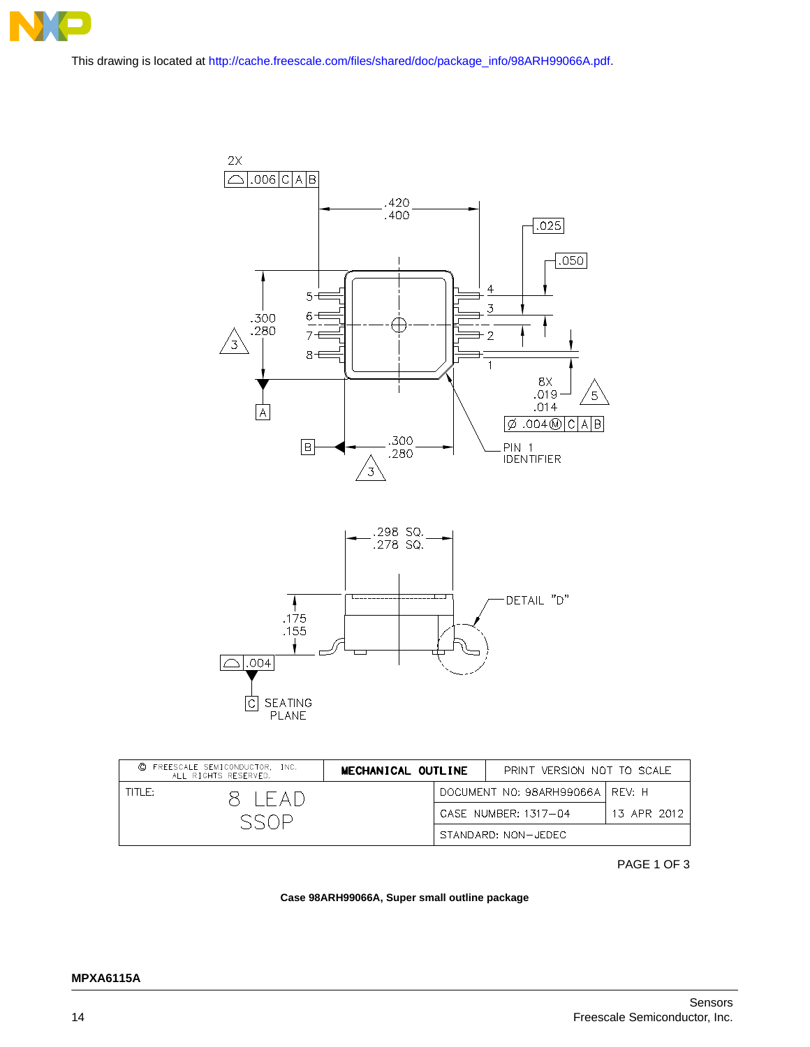

[This drawing is located at h](http://cache.freescale.com/files/shared/doc/package_info/98ARH99066A.pdf)ttp://cache.freescale.com/files/shared/doc/package\_info/98ARH99066A.pdf.



| © FREESCALE SEMICONDUCTOR, INC.<br>ALL RIGHTS RESERVED. |           | MECHANICAL OUTLINE |  | PRINT VERSION NOT TO SCALE        |             |
|---------------------------------------------------------|-----------|--------------------|--|-----------------------------------|-------------|
| TITI F:-                                                | 8 I F A D |                    |  | DOCUMENT NO: 98ARH99066A   REV: H |             |
|                                                         |           |                    |  | CASE NUMBER: 1317-04              | 13 APR 2012 |
|                                                         |           |                    |  | STANDARD: NON-JEDEC               |             |

PAGE 1 OF 3

#### **Case 98ARH99066A, Super small outline package**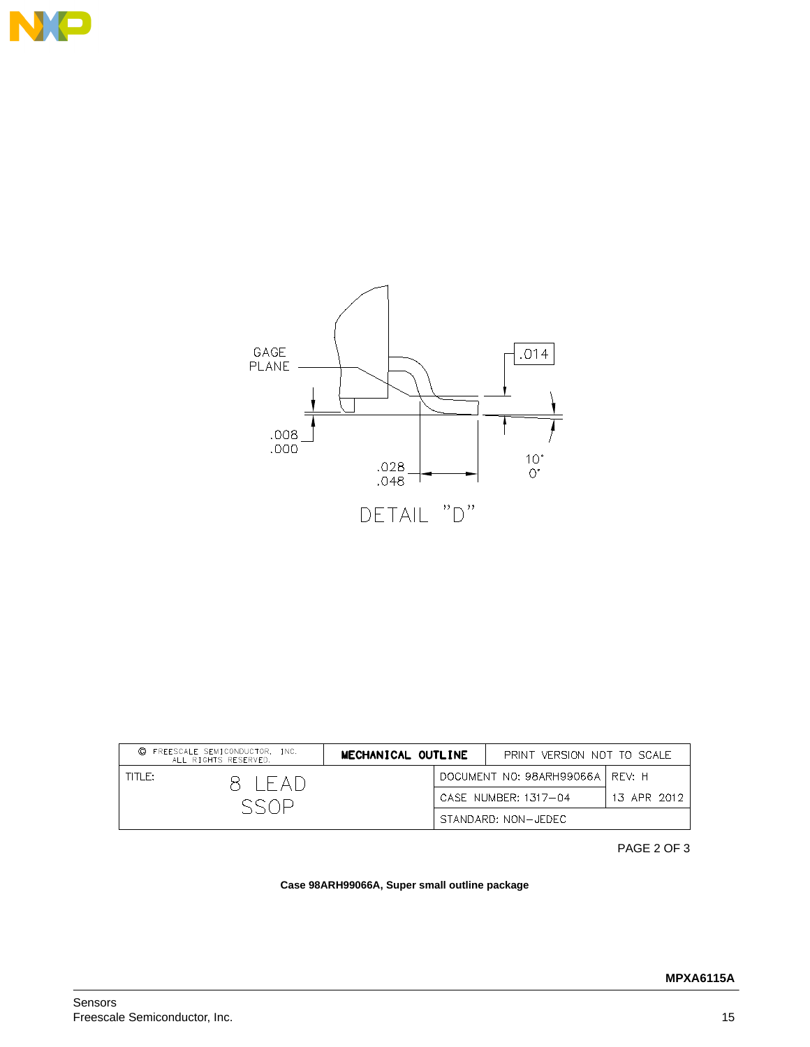



| © FREESCALE SEMICONDUCTOR, INC.<br>ALL RIGHTS RESERVED. |           | MECHANICAL OUTLINE |  | PRINT VERSION NOT TO SCALE        |             |
|---------------------------------------------------------|-----------|--------------------|--|-----------------------------------|-------------|
| TITLE:                                                  | 8 I F AI) |                    |  | DOCUMENT NO: 98ARH99066A   REV: H |             |
|                                                         |           |                    |  | CASE NUMBER: 1317-04              | 13 APR 2012 |
|                                                         |           |                    |  | STANDARD: NON-JEDEC               |             |

PAGE 2 OF 3

#### **Case 98ARH99066A, Super small outline package**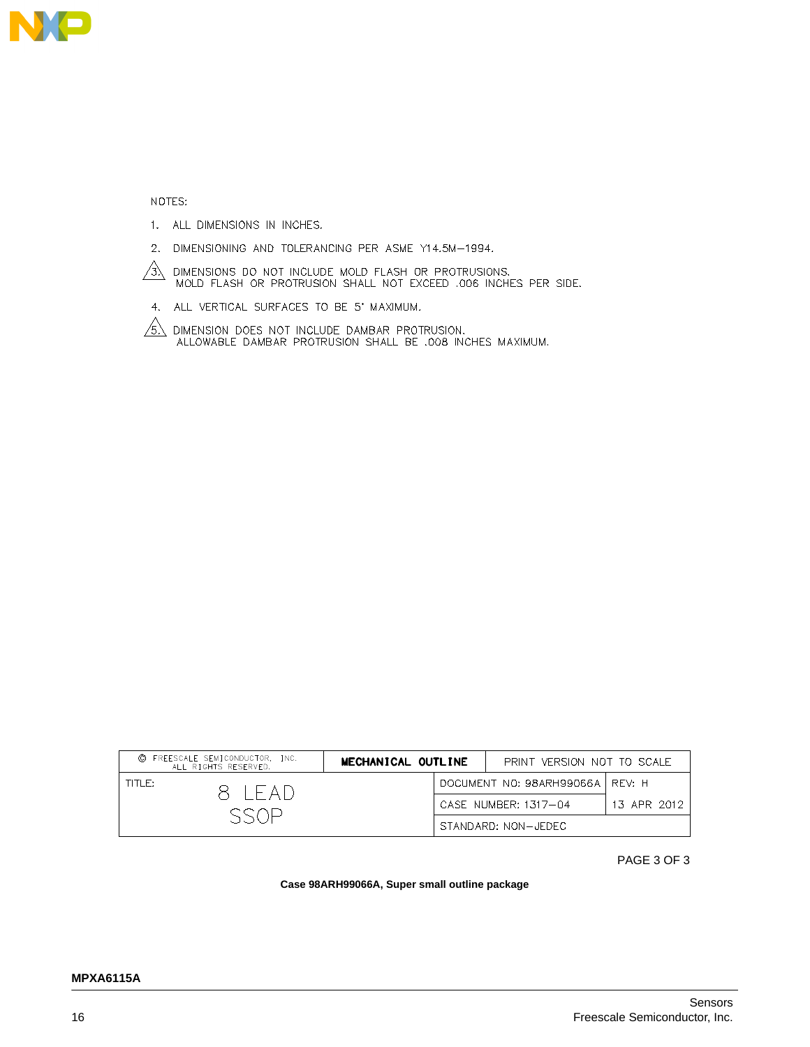

NOTES:

- 1. ALL DIMENSIONS IN INCHES.
- 2. DIMENSIONING AND TOLERANCING PER ASME Y14.5M-1994.

 $\overbrace{3N}$  dimensions do not include mold flash or protrusions.<br>MOLD FLASH OR PROTRUSION SHALL NOT EXCEED .006 INCHES PER SIDE.

4. ALL VERTICAL SURFACES TO BE 5' MAXIMUM.

 $\sqrt{6}$  DIMENSION DOES NOT INCLUDE DAMBAR PROTRUSION.<br>ALLOWABLE DAMBAR PROTRUSION SHALL BE .008 INCHES MAXIMUM.

| © FREESCALE SEMICONDUCTOR, INC.<br>ALL RIGHTS RESERVED. | MECHANICAL OUTLINE |  | PRINT VERSION NOT TO SCALE        |             |
|---------------------------------------------------------|--------------------|--|-----------------------------------|-------------|
| TITI E:<br>8 IFAD                                       |                    |  | DOCUMENT NO: 98ARH99066A   REV: H |             |
|                                                         |                    |  | CASE NUMBER: 1317-04              | 13 APR 2012 |
|                                                         |                    |  | STANDARD: NON-JEDEC               |             |

PAGE 3 OF 3

#### **Case 98ARH99066A, Super small outline package**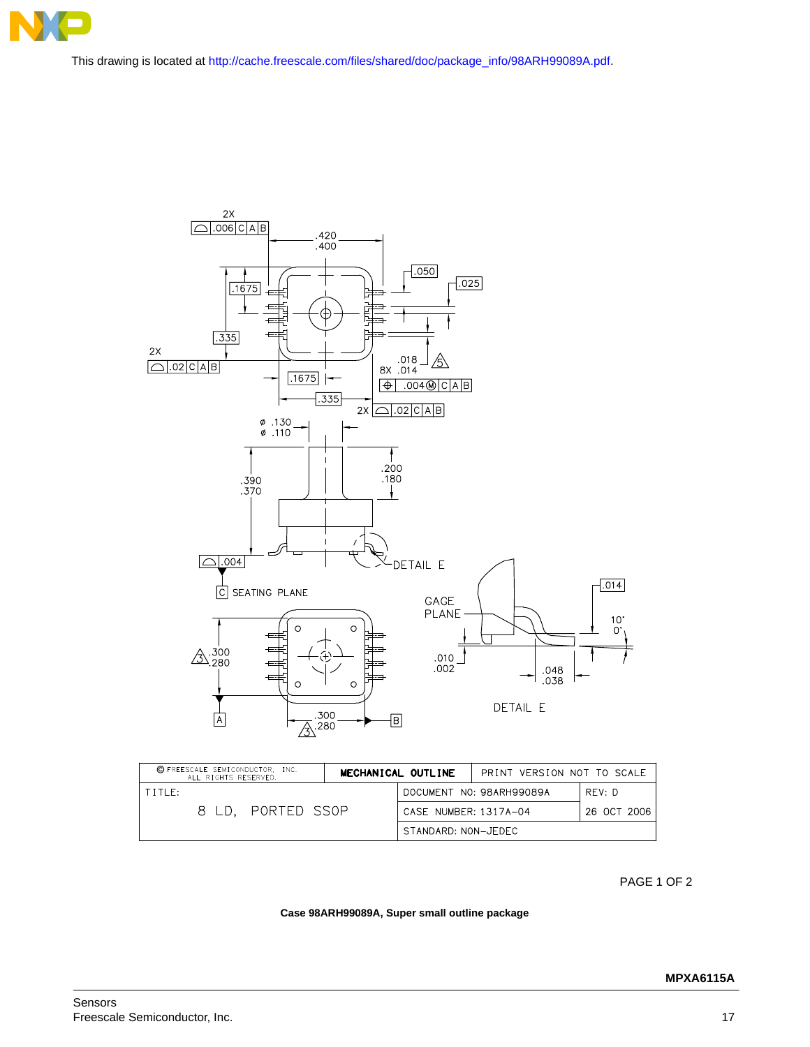

This drawing is located a[t http://cache.freescale.com/files/shared/doc/package\\_info/98ARH99089A.pdf.](http://cache.freescale.com/files/shared/doc/package_info/98ARH99089A.pdf)



| C FREESCALE SEMICONDUCTOR, INC.<br>ALL RIGHTS RESERVED. |             | MECHANICAL OUTLINE<br>PRINT VERSION NOT TO SCALE |                          |             |
|---------------------------------------------------------|-------------|--------------------------------------------------|--------------------------|-------------|
| TITLE:                                                  |             |                                                  | DOCUMENT NO: 98ARH99089A | RFV: D      |
| 8 I D.                                                  | PORTED SSOP |                                                  | CASE NUMBER: 1317A-04    | 26 OCT 2006 |
|                                                         |             | STANDARD: NON-JEDEC                              |                          |             |

PAGE 1 OF 2

#### **Case 98ARH99089A, Super small outline package**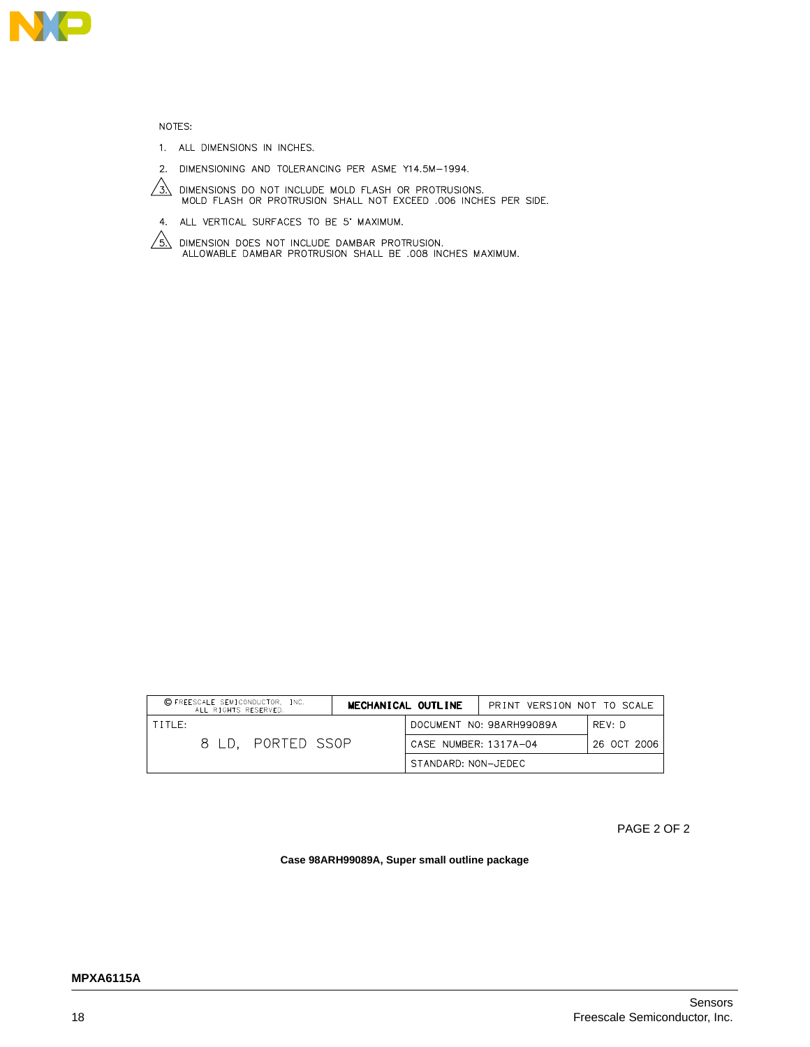

NOTES:

- 1. ALL DIMENSIONS IN INCHES.
- 2. DIMENSIONING AND TOLERANCING PER ASME Y14.5M-1994.



- $\sqrt{3}$ . DIMENSIONS DO NOT INCLUDE MOLD FLASH OR PROTRUSIONS.<br>MOLD FLASH OR PROTRUSION SHALL NOT EXCEED .006 INCHES PER SIDE.
- 4. ALL VERTICAL SURFACES TO BE 5' MAXIMUM.
- $\sqrt{\frac{2}{3}}$  dimension does not include dambar protrusion.<br>ALLOWABLE DAMBAR PROTRUSION SHALL BE .008 INCHES MAXIMUM.

| C FREESCALE SEMICONDUCTOR, INC.<br>ALL RIGHTS RESERVED. |                   | MECHANICAL OUTLINE  |                       | PRINT VERSION NOT TO SCALE |             |
|---------------------------------------------------------|-------------------|---------------------|-----------------------|----------------------------|-------------|
| TITIF:                                                  |                   |                     |                       | DOCUMENT NO: 98ARH99089A   | RFV: D      |
|                                                         | 8 LD. PORTED SSOP |                     | CASE NUMBER: 1317A-04 |                            | 26 OCT 2006 |
|                                                         |                   | STANDARD: NON-JEDEC |                       |                            |             |

PAGE 2 OF 2

**Case 98ARH99089A, Super small outline package**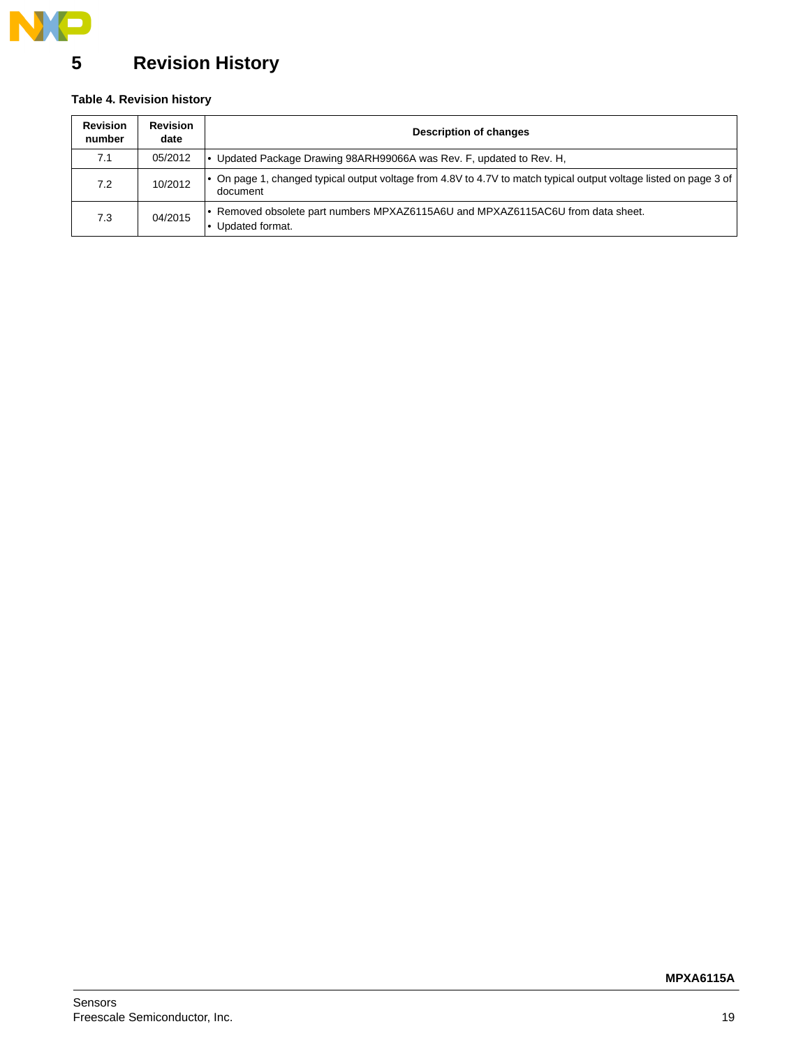

# <span id="page-18-0"></span>**5 Revision History**

### **Table 4. Revision history**

| <b>Revision</b><br>number | <b>Revision</b><br>date | <b>Description of changes</b>                                                                                               |  |  |
|---------------------------|-------------------------|-----------------------------------------------------------------------------------------------------------------------------|--|--|
| 7.1                       | 05/2012                 | Updated Package Drawing 98ARH99066A was Rev. F, updated to Rev. H,                                                          |  |  |
| 7.2                       | 10/2012                 | On page 1, changed typical output voltage from 4.8V to 4.7V to match typical output voltage listed on page 3 of<br>document |  |  |
| 7.3                       | 04/2015                 | Removed obsolete part numbers MPXAZ6115A6U and MPXAZ6115AC6U from data sheet.<br>Updated format.                            |  |  |